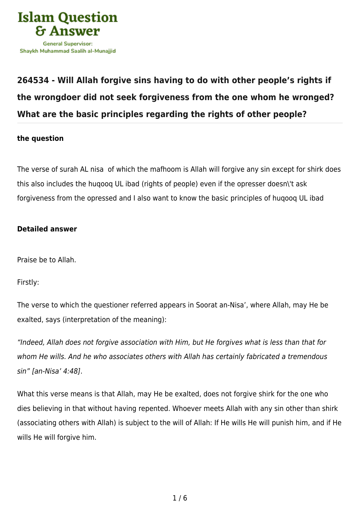

## **[264534 - Will Allah forgive sins having to do with other people's rights if](https://islamqa.com/en/answers/264534/will-allah-forgive-sins-having-to-do-with-other-peoples-rights-if-the-wrongdoer-did-not-seek-forgiveness-from-the-one-whom-he-wronged-what-are-the-basic-principles-regarding-the-rights-of-other-people) [the wrongdoer did not seek forgiveness from the one whom he wronged?](https://islamqa.com/en/answers/264534/will-allah-forgive-sins-having-to-do-with-other-peoples-rights-if-the-wrongdoer-did-not-seek-forgiveness-from-the-one-whom-he-wronged-what-are-the-basic-principles-regarding-the-rights-of-other-people) [What are the basic principles regarding the rights of other people?](https://islamqa.com/en/answers/264534/will-allah-forgive-sins-having-to-do-with-other-peoples-rights-if-the-wrongdoer-did-not-seek-forgiveness-from-the-one-whom-he-wronged-what-are-the-basic-principles-regarding-the-rights-of-other-people)**

## **the question**

The verse of surah AL nisa of which the mafhoom is Allah will forgive any sin except for shirk does this also includes the huqooq UL ibad (rights of people) even if the opresser doesn\'t ask forgiveness from the opressed and I also want to know the basic principles of huqooq UL ibad

## **Detailed answer**

Praise be to Allah.

Firstly:

The verse to which the questioner referred appears in Soorat an-Nisa', where Allah, may He be exalted, says (interpretation of the meaning):

"Indeed, Allah does not forgive association with Him, but He forgives what is less than that for whom He wills. And he who associates others with Allah has certainly fabricated a tremendous sin" [an-Nisa' 4:48].

What this verse means is that Allah, may He be exalted, does not forgive shirk for the one who dies believing in that without having repented. Whoever meets Allah with any sin other than shirk (associating others with Allah) is subject to the will of Allah: If He wills He will punish him, and if He wills He will forgive him.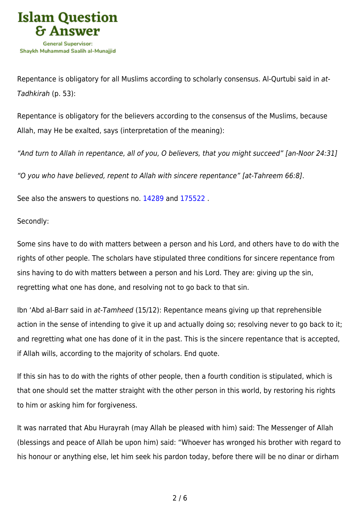

Repentance is obligatory for all Muslims according to scholarly consensus. Al-Qurtubi said in at-Tadhkirah (p. 53):

Repentance is obligatory for the believers according to the consensus of the Muslims, because Allah, may He be exalted, says (interpretation of the meaning):

"And turn to Allah in repentance, all of you, O believers, that you might succeed" [an-Noor 24:31]

"O you who have believed, repent to Allah with sincere repentance" [at-Tahreem 66:8].

See also the answers to questions no. [14289](https://islamqa.com/en/answers/14289) and [175522](https://islamqa.com/en/answers/175522) .

Secondly:

Some sins have to do with matters between a person and his Lord, and others have to do with the rights of other people. The scholars have stipulated three conditions for sincere repentance from sins having to do with matters between a person and his Lord. They are: giving up the sin, regretting what one has done, and resolving not to go back to that sin.

Ibn 'Abd al-Barr said in at-Tamheed (15/12): Repentance means giving up that reprehensible action in the sense of intending to give it up and actually doing so; resolving never to go back to it; and regretting what one has done of it in the past. This is the sincere repentance that is accepted, if Allah wills, according to the majority of scholars. End quote.

If this sin has to do with the rights of other people, then a fourth condition is stipulated, which is that one should set the matter straight with the other person in this world, by restoring his rights to him or asking him for forgiveness.

It was narrated that Abu Hurayrah (may Allah be pleased with him) said: The Messenger of Allah (blessings and peace of Allah be upon him) said: "Whoever has wronged his brother with regard to his honour or anything else, let him seek his pardon today, before there will be no dinar or dirham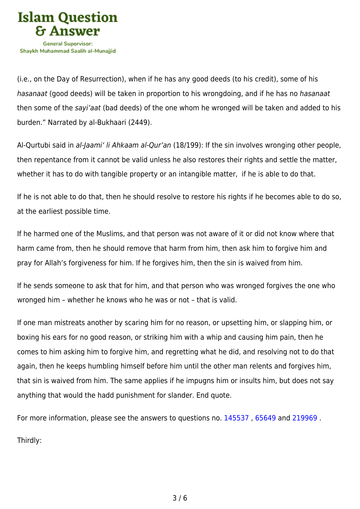

(i.e., on the Day of Resurrection), when if he has any good deeds (to his credit), some of his hasanaat (good deeds) will be taken in proportion to his wrongdoing, and if he has no hasanaat then some of the sayi'aat (bad deeds) of the one whom he wronged will be taken and added to his burden." Narrated by al-Bukhaari (2449).

Al-Qurtubi said in al-Jaami' li Ahkaam al-Qur'an (18/199): If the sin involves wronging other people, then repentance from it cannot be valid unless he also restores their rights and settle the matter, whether it has to do with tangible property or an intangible matter, if he is able to do that.

If he is not able to do that, then he should resolve to restore his rights if he becomes able to do so, at the earliest possible time.

If he harmed one of the Muslims, and that person was not aware of it or did not know where that harm came from, then he should remove that harm from him, then ask him to forgive him and pray for Allah's forgiveness for him. If he forgives him, then the sin is waived from him.

If he sends someone to ask that for him, and that person who was wronged forgives the one who wronged him – whether he knows who he was or not – that is valid.

If one man mistreats another by scaring him for no reason, or upsetting him, or slapping him, or boxing his ears for no good reason, or striking him with a whip and causing him pain, then he comes to him asking him to forgive him, and regretting what he did, and resolving not to do that again, then he keeps humbling himself before him until the other man relents and forgives him, that sin is waived from him. The same applies if he impugns him or insults him, but does not say anything that would the hadd punishment for slander. End quote.

For more information, please see the answers to questions no. [145537](https://islamqa.com/en/answers/145537) , [65649](https://islamqa.com/en/answers/65649) and [219969](https://islamqa.com/en/answers/219969) .

Thirdly: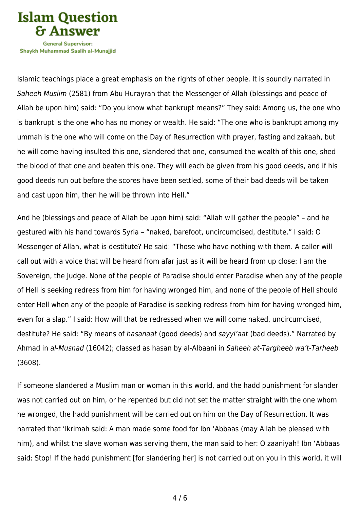

Shavkh Muhammad Saalih al-Munaiiid

Islamic teachings place a great emphasis on the rights of other people. It is soundly narrated in Saheeh Muslim (2581) from Abu Hurayrah that the Messenger of Allah (blessings and peace of Allah be upon him) said: "Do you know what bankrupt means?" They said: Among us, the one who is bankrupt is the one who has no money or wealth. He said: "The one who is bankrupt among my ummah is the one who will come on the Day of Resurrection with prayer, fasting and zakaah, but he will come having insulted this one, slandered that one, consumed the wealth of this one, shed the blood of that one and beaten this one. They will each be given from his good deeds, and if his good deeds run out before the scores have been settled, some of their bad deeds will be taken and cast upon him, then he will be thrown into Hell."

And he (blessings and peace of Allah be upon him) said: "Allah will gather the people" – and he gestured with his hand towards Syria – "naked, barefoot, uncircumcised, destitute." I said: O Messenger of Allah, what is destitute? He said: "Those who have nothing with them. A caller will call out with a voice that will be heard from afar just as it will be heard from up close: I am the Sovereign, the Judge. None of the people of Paradise should enter Paradise when any of the people of Hell is seeking redress from him for having wronged him, and none of the people of Hell should enter Hell when any of the people of Paradise is seeking redress from him for having wronged him, even for a slap." I said: How will that be redressed when we will come naked, uncircumcised, destitute? He said: "By means of hasanaat (good deeds) and sayyi'aat (bad deeds)." Narrated by Ahmad in al-Musnad (16042); classed as hasan by al-Albaani in Saheeh at-Targheeb wa't-Tarheeb (3608).

If someone slandered a Muslim man or woman in this world, and the hadd punishment for slander was not carried out on him, or he repented but did not set the matter straight with the one whom he wronged, the hadd punishment will be carried out on him on the Day of Resurrection. It was narrated that 'Ikrimah said: A man made some food for Ibn 'Abbaas (may Allah be pleased with him), and whilst the slave woman was serving them, the man said to her: O zaaniyah! Ibn 'Abbaas said: Stop! If the hadd punishment [for slandering her] is not carried out on you in this world, it will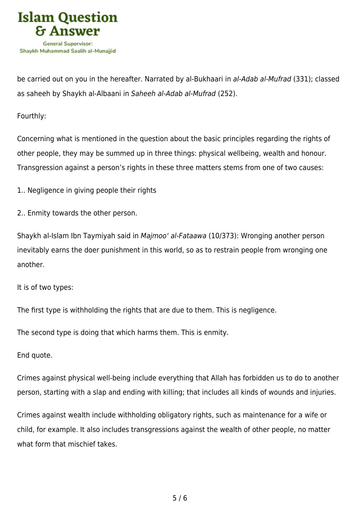

be carried out on you in the hereafter. Narrated by al-Bukhaari in al-Adab al-Mufrad (331); classed as saheeh by Shaykh al-Albaani in Saheeh al-Adab al-Mufrad (252).

Fourthly:

Concerning what is mentioned in the question about the basic principles regarding the rights of other people, they may be summed up in three things: physical wellbeing, wealth and honour. Transgression against a person's rights in these three matters stems from one of two causes:

- 1.. Negligence in giving people their rights
- 2.. Enmity towards the other person.

Shaykh al-Islam Ibn Taymiyah said in Majmoo' al-Fataawa (10/373): Wronging another person inevitably earns the doer punishment in this world, so as to restrain people from wronging one another.

It is of two types:

The first type is withholding the rights that are due to them. This is negligence.

The second type is doing that which harms them. This is enmity.

End quote.

Crimes against physical well-being include everything that Allah has forbidden us to do to another person, starting with a slap and ending with killing; that includes all kinds of wounds and injuries.

Crimes against wealth include withholding obligatory rights, such as maintenance for a wife or child, for example. It also includes transgressions against the wealth of other people, no matter what form that mischief takes.